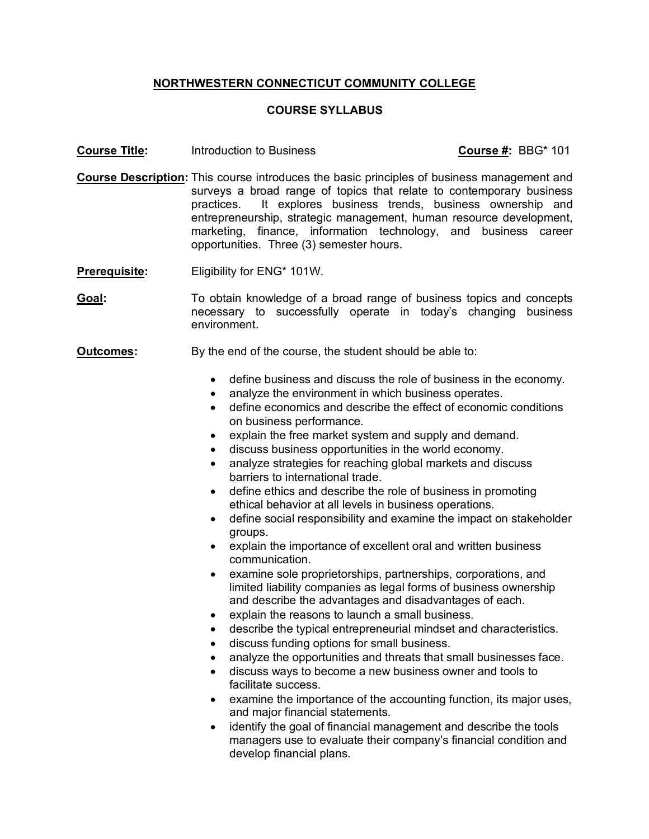## **NORTHWESTERN CONNECTICUT COMMUNITY COLLEGE**

## **COURSE SYLLABUS**

**Course Title:** Introduction to Business **Course #:** BBG\* 101

- **Course Description:** This course introduces the basic principles of business management and surveys a broad range of topics that relate to contemporary business practices. It explores business trends, business ownership and entrepreneurship, strategic management, human resource development, marketing, finance, information technology, and business career opportunities. Three (3) semester hours.
- **Prerequisite:** Eligibility for ENG\* 101W.
- **Goal:** To obtain knowledge of a broad range of business topics and concepts necessary to successfully operate in today's changing business environment.
- **Outcomes:** By the end of the course, the student should be able to:
	- define business and discuss the role of business in the economy.
	- analyze the environment in which business operates.
	- define economics and describe the effect of economic conditions on business performance.
	- explain the free market system and supply and demand.
	- discuss business opportunities in the world economy.
	- analyze strategies for reaching global markets and discuss barriers to international trade.
	- define ethics and describe the role of business in promoting ethical behavior at all levels in business operations.
	- define social responsibility and examine the impact on stakeholder groups.
	- explain the importance of excellent oral and written business communication.
	- examine sole proprietorships, partnerships, corporations, and limited liability companies as legal forms of business ownership and describe the advantages and disadvantages of each.
	- explain the reasons to launch a small business.
	- describe the typical entrepreneurial mindset and characteristics.
	- discuss funding options for small business.
	- analyze the opportunities and threats that small businesses face.
	- discuss ways to become a new business owner and tools to facilitate success.
	- examine the importance of the accounting function, its major uses, and major financial statements.
	- identify the goal of financial management and describe the tools managers use to evaluate their company's financial condition and develop financial plans.